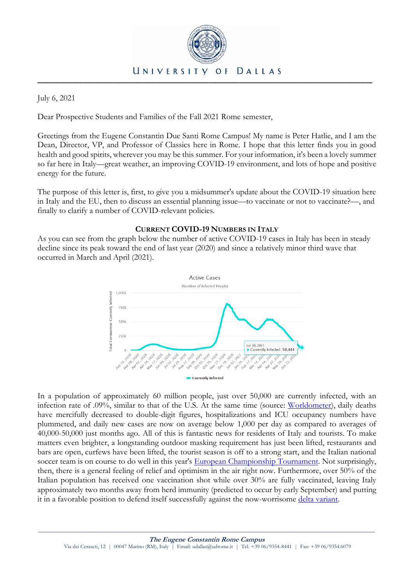

July 6, 2021

Dear Prospective Students and Families of the Fall 2021 Rome semester,

Greetings from the Eugene Constantin Due Santi Rome Campus! My name is Peter Hatlie, and I am the Dean, Director, VP, and Professor of Classics here in Rome. I hope that this letter finds you in good health and good spirits, wherever you may be this summer. For your information, it's been a lovely summer so far here in Italy—great weather, an improving COVID-19 environment, and lots of hope and positive energy for the future.

The purpose of this letter is, first, to give you a midsummer's update about the COVID-19 situation here in Italy and the EU, then to discuss an essential planning issue—to vaccinate or not to vaccinate?—, and finally to clarify a number of COVID-relevant policies.

# **CURRENT COVID-19 NUMBERS IN ITALY**

As you can see from the graph below the number of active COVID-19 cases in Italy has been in steady decline since its peak toward the end of last year (2020) and since a relatively minor third wave that occurred in March and April (2021).



In a population of approximately 60 million people, just over 50,000 are currently infected, with an infection rate of .09%, similar to that of the U.S. At the same time (source: [Worldometer\)](https://www.google.it/search?q=worldometer+covid+italy&ie=UTF-8&oe=), daily deaths have mercifully decreased to double-digit figures, hospitalizations and ICU occupancy numbers have plummeted, and daily new cases are now on average below 1,000 per day as compared to averages of 40,000-50,000 just months ago. All of this is fantastic news for residents of Italy and tourists. To make matters even brighter, a longstanding outdoor masking requirement has just been lifted, restaurants and bars are open, curfews have been lifted, the tourist season is off to a strong start, and the Italian national soccer team is on course to do well in this year's [European Championship Tournament.](https://www.uefa.com/uefaeuro-2020/news/) Not surprisingly, then, there is a general feeling of relief and optimism in the air right now. Furthermore, over 50% of the Italian population has received one vaccination shot while over 30% are fully vaccinated, leaving Italy approximately two months away from herd immunity (predicted to occur by early September) and putting it in a favorable position to defend itself successfully against the now-worrisome [delta variant.](https://www.bbc.com/news/world-europe-57594954)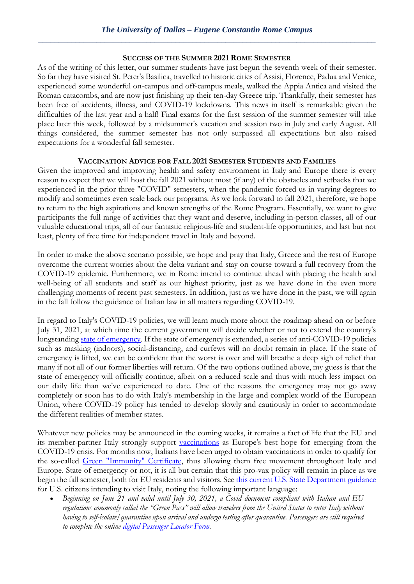## **SUCCESS OF THE SUMMER 2021 ROME SEMESTER**

As of the writing of this letter, our summer students have just begun the seventh week of their semester. So far they have visited St. Peter's Basilica, travelled to historic cities of Assisi, Florence, Padua and Venice, experienced some wonderful on-campus and off-campus meals, walked the Appia Antica and visited the Roman catacombs, and are now just finishing up their ten-day Greece trip. Thankfully, their semester has been free of accidents, illness, and COVID-19 lockdowns. This news in itself is remarkable given the difficulties of the last year and a half! Final exams for the first session of the summer semester will take place later this week, followed by a midsummer's vacation and session two in July and early August. All things considered, the summer semester has not only surpassed all expectations but also raised expectations for a wonderful fall semester.

# **VACCINATION ADVICE FOR FALL 2021 SEMESTER STUDENTS AND FAMILIES**

Given the improved and improving health and safety environment in Italy and Europe there is every reason to expect that we will host the fall 2021 without most (if any) of the obstacles and setbacks that we experienced in the prior three "COVID" semesters, when the pandemic forced us in varying degrees to modify and sometimes even scale back our programs. As we look forward to fall 2021, therefore, we hope to return to the high aspirations and known strengths of the Rome Program. Essentially, we want to give participants the full range of activities that they want and deserve, including in-person classes, all of our valuable educational trips, all of our fantastic religious-life and student-life opportunities, and last but not least, plenty of free time for independent travel in Italy and beyond.

In order to make the above scenario possible, we hope and pray that Italy, Greece and the rest of Europe overcome the current worries about the delta variant and stay on course toward a full recovery from the COVID-19 epidemic. Furthermore, we in Rome intend to continue ahead with placing the health and well-being of all students and staff as our highest priority, just as we have done in the even more challenging moments of recent past semesters. In addition, just as we have done in the past, we will again in the fall follow the guidance of Italian law in all matters regarding COVID-19.

In regard to Italy's COVID-19 policies, we will learn much more about the roadmap ahead on or before July 31, 2021, at which time the current government will decide whether or not to extend the country's longstanding [state of emergency.](https://www.salute.gov.it/portale/nuovocoronavirus/dettaglioFaqNuovoCoronavirus.jsp?lingua=english&id=230#11) If the state of emergency is extended, a series of anti-COVID-19 policies such as masking (indoors), social-distancing, and curfews will no doubt remain in place. If the state of emergency is lifted, we can be confident that the worst is over and will breathe a deep sigh of relief that many if not all of our former liberties will return. Of the two options outlined above, my guess is that the state of emergency will officially continue, albeit on a reduced scale and thus with much less impact on our daily life than we've experienced to date. One of the reasons the emergency may not go away completely or soon has to do with Italy's membership in the large and complex world of the European Union, where COVID-19 policy has tended to develop slowly and cautiously in order to accommodate the different realities of member states.

Whatever new policies may be announced in the coming weeks, it remains a fact of life that the EU and its member-partner Italy strongly support [vaccinations](https://ec.europa.eu/info/live-work-travel-eu/coronavirus-response/safe-covid-19-vaccines-europeans_en) as Europe's best hope for emerging from the COVID-19 crisis. For months now, Italians have been urged to obtain vaccinations in order to qualify for the so-called [Green "Immunity" Certificate,](https://www.salute.gov.it/portale/nuovocoronavirus/dettaglioNotizieNuovoCoronavirus.jsp?lingua=english&menu=notizie&p=dalministero&id=5531) thus allowing them free movement throughout Italy and Europe. State of emergency or not, it is all but certain that this pro-vax policy will remain in place as we begin the fall semester, both for EU residents and visitors. Se[e this current U.S. State Department guidance](https://it.usembassy.gov/covid-19-information/) for U.S. citizens intending to visit Italy, noting the following important language:

 *Beginning on June 21 and valid until July 30, 2021, a Covid document compliant with Italian and EU regulations commonly called the "Green Pass" will allow travelers from the United States to enter Italy without having to self-isolate/quarantine upon arrival and undergo testing after quarantine. Passengers are still required to complete the online [digital Passenger Locator Form.](https://app.euplf.eu/#/)*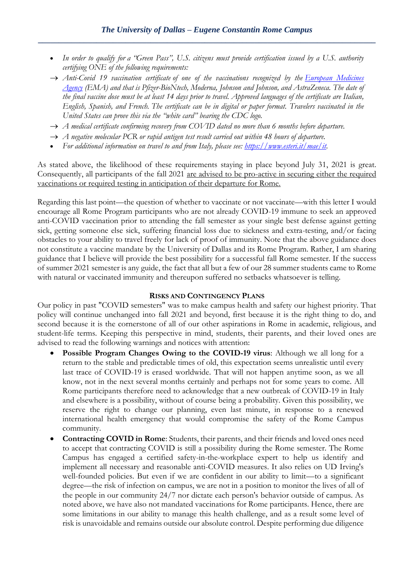- *In order to qualify for a "Green Pass", U.S. citizens must provide certification issued by a U.S. authority certifying ONE of the following requirements:*
- *Anti-Covid 19 vaccination certificate of one of the vaccinations recognized by the [European Medicines](https://www.ema.europa.eu/en/human-regulatory/overview/public-health-threats/coronavirus-disease-covid-19/treatments-vaccines/vaccines-covid-19/covid-19-vaccines-authorised#authorised-covid-19-vaccines-section)  [Agency](https://www.ema.europa.eu/en/human-regulatory/overview/public-health-threats/coronavirus-disease-covid-19/treatments-vaccines/vaccines-covid-19/covid-19-vaccines-authorised#authorised-covid-19-vaccines-section) (EMA) and that is Pfizer-BioNtech, Moderna, Johnson and Johnson, and AstraZeneca. The date of the final vaccine dose must be at least 14 days prior to travel. Approved languages of the certificate are Italian, English, Spanish, and French. The certificate can be in digital or paper format. Travelers vaccinated in the United States can prove this via the "white card" bearing the CDC logo.*
- *A medical certificate confirming recovery from COVID dated no more than 6 months before departure.*
- $\rightarrow$  *A* negative molecular PCR or rapid antigen test result carried out within 48 hours of departure.
- *For additional information on travel to and from Italy, please see: [https://www.esteri.it/mae/it.](https://www.esteri.it/mae/it)*

As stated above, the likelihood of these requirements staying in place beyond July 31, 2021 is great. Consequently, all participants of the fall 2021 are advised to be pro-active in securing either the required vaccinations or required testing in anticipation of their departure for Rome.

Regarding this last point—the question of whether to vaccinate or not vaccinate—with this letter I would encourage all Rome Program participants who are not already COVID-19 immune to seek an approved anti-COVID vaccination prior to attending the fall semester as your single best defense against getting sick, getting someone else sick, suffering financial loss due to sickness and extra-testing, and/or facing obstacles to your ability to travel freely for lack of proof of immunity. Note that the above guidance does not constitute a vaccine mandate by the University of Dallas and its Rome Program. Rather, I am sharing guidance that I believe will provide the best possibility for a successful fall Rome semester. If the success of summer 2021 semester is any guide, the fact that all but a few of our 28 summer students came to Rome with natural or vaccinated immunity and thereupon suffered no setbacks whatsoever is telling.

## **RISKS AND CONTINGENCY PLANS**

Our policy in past "COVID semesters" was to make campus health and safety our highest priority. That policy will continue unchanged into fall 2021 and beyond, first because it is the right thing to do, and second because it is the cornerstone of all of our other aspirations in Rome in academic, religious, and student-life terms. Keeping this perspective in mind, students, their parents, and their loved ones are advised to read the following warnings and notices with attention:

- **Possible Program Changes Owing to the COVID-19 virus**: Although we all long for a return to the stable and predictable times of old, this expectation seems unrealistic until every last trace of COVID-19 is erased worldwide. That will not happen anytime soon, as we all know, not in the next several months certainly and perhaps not for some years to come. All Rome participants therefore need to acknowledge that a new outbreak of COVID-19 in Italy and elsewhere is a possibility, without of course being a probability. Given this possibility, we reserve the right to change our planning, even last minute, in response to a renewed international health emergency that would compromise the safety of the Rome Campus community.
- **Contracting COVID in Rome**: Students, their parents, and their friends and loved ones need to accept that contracting COVID is still a possibility during the Rome semester. The Rome Campus has engaged a certified safety-in-the-workplace expert to help us identify and implement all necessary and reasonable anti-COVID measures. It also relies on UD Irving's well-founded policies. But even if we are confident in our ability to limit—to a significant degree—the risk of infection on campus, we are not in a position to monitor the lives of all of the people in our community 24/7 nor dictate each person's behavior outside of campus. As noted above, we have also not mandated vaccinations for Rome participants. Hence, there are some limitations in our ability to manage this health challenge, and as a result some level of risk is unavoidable and remains outside our absolute control. Despite performing due diligence